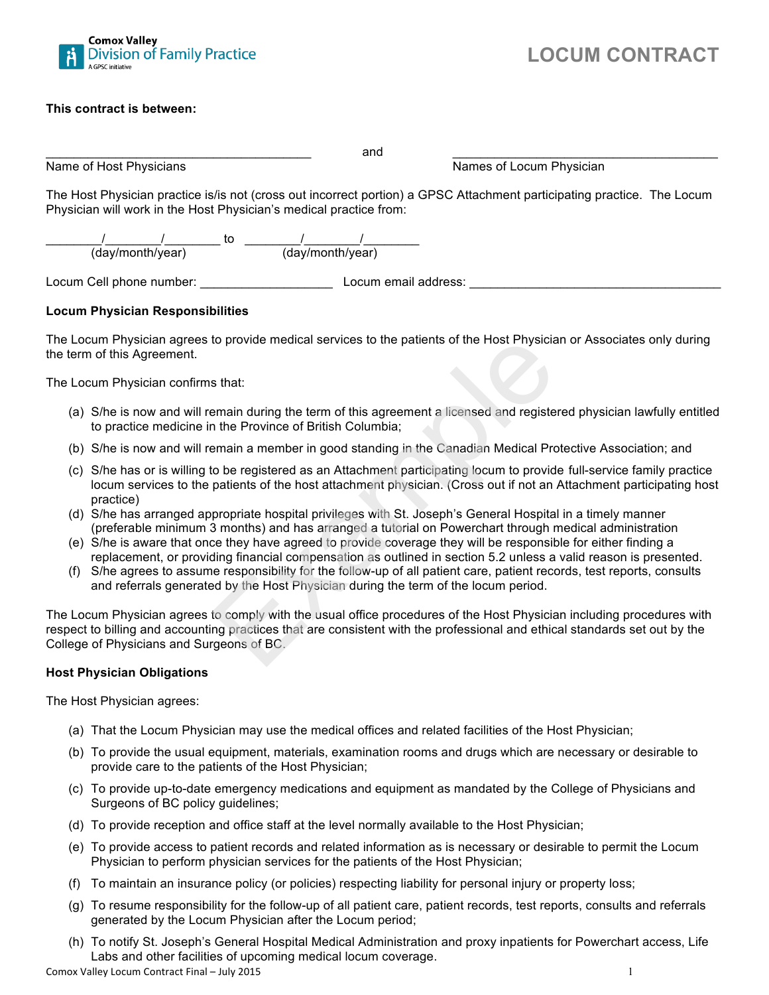

#### **This contract is between:**

|                                                                    | and                                                                                                                     |  |
|--------------------------------------------------------------------|-------------------------------------------------------------------------------------------------------------------------|--|
| Name of Host Physicians                                            | Names of Locum Physician                                                                                                |  |
| Physician will work in the Host Physician's medical practice from: | The Host Physician practice is/is not (cross out incorrect portion) a GPSC Attachment participating practice. The Locum |  |
| TO.<br>.<br>.<br>.                                                 | .                                                                                                                       |  |

(day/month/year) (day/month/year)

Locum Cell phone number: \_\_\_\_\_\_\_\_\_\_\_\_\_\_\_\_\_\_\_ Locum email address: \_\_\_\_\_\_\_\_\_\_\_\_\_\_\_\_\_\_\_\_\_\_\_\_\_\_\_\_\_\_\_\_\_\_\_\_

#### **Locum Physician Responsibilities**

The Locum Physician agrees to provide medical services to the patients of the Host Physician or Associates only during the term of this Agreement.

The Locum Physician confirms that:

- (a) S/he is now and will remain during the term of this agreement a licensed and registered physician lawfully entitled to practice medicine in the Province of British Columbia;
- (b) S/he is now and will remain a member in good standing in the Canadian Medical Protective Association; and
- (c) S/he has or is willing to be registered as an Attachment participating locum to provide full-service family practice locum services to the patients of the host attachment physician. (Cross out if not an Attachment participating host practice) to provide medical services to the patients of the Host Physicia<br>
s that:<br>
s that:<br>
s that:<br>
a main during the term of this agreement a licensed and registe<br>
in the Province of British Columbia;<br>
emain a member in good sta
- (d) S/he has arranged appropriate hospital privileges with St. Joseph's General Hospital in a timely manner (preferable minimum 3 months) and has arranged a tutorial on Powerchart through medical administration
- (e) S/he is aware that once they have agreed to provide coverage they will be responsible for either finding a replacement, or providing financial compensation as outlined in section 5.2 unless a valid reason is presented.
- (f) S/he agrees to assume responsibility for the follow-up of all patient care, patient records, test reports, consults and referrals generated by the Host Physician during the term of the locum period.

The Locum Physician agrees to comply with the usual office procedures of the Host Physician including procedures with respect to billing and accounting practices that are consistent with the professional and ethical standards set out by the College of Physicians and Surgeons of BC.

#### **Host Physician Obligations**

The Host Physician agrees:

- (a) That the Locum Physician may use the medical offices and related facilities of the Host Physician;
- (b) To provide the usual equipment, materials, examination rooms and drugs which are necessary or desirable to provide care to the patients of the Host Physician;
- (c) To provide up-to-date emergency medications and equipment as mandated by the College of Physicians and Surgeons of BC policy guidelines;
- (d) To provide reception and office staff at the level normally available to the Host Physician;
- (e) To provide access to patient records and related information as is necessary or desirable to permit the Locum Physician to perform physician services for the patients of the Host Physician;
- (f) To maintain an insurance policy (or policies) respecting liability for personal injury or property loss;
- (g) To resume responsibility for the follow-up of all patient care, patient records, test reports, consults and referrals generated by the Locum Physician after the Locum period;
- (h) To notify St. Joseph's General Hospital Medical Administration and proxy inpatients for Powerchart access, Life Labs and other facilities of upcoming medical locum coverage.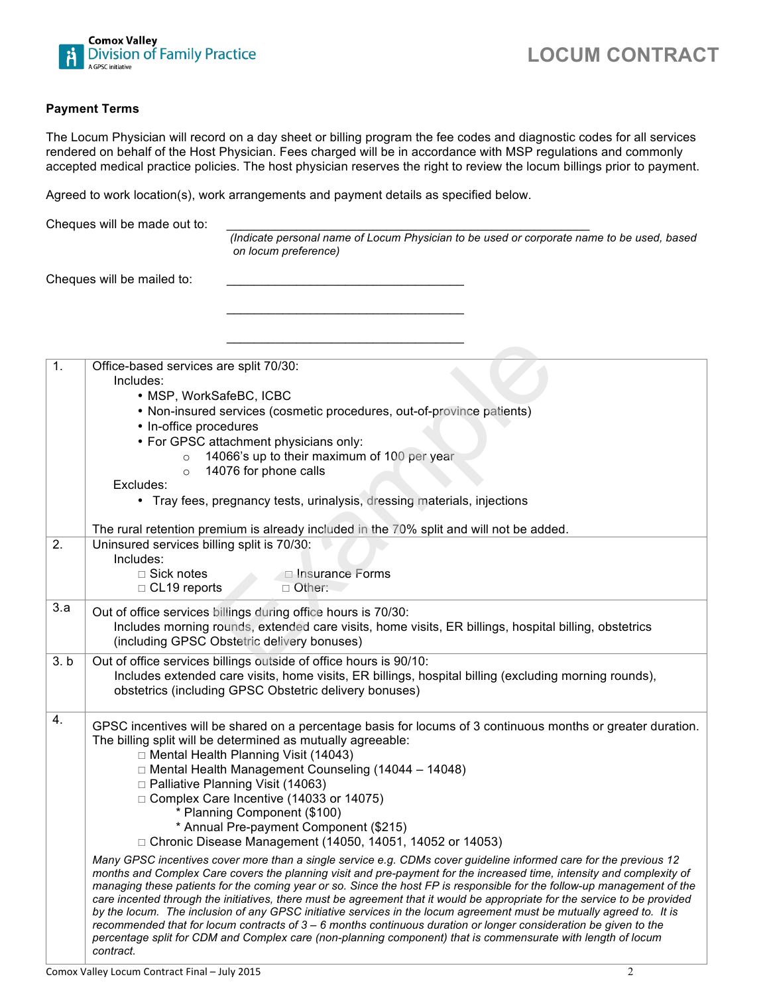

#### **Payment Terms**

The Locum Physician will record on a day sheet or billing program the fee codes and diagnostic codes for all services rendered on behalf of the Host Physician. Fees charged will be in accordance with MSP regulations and commonly accepted medical practice policies. The host physician reserves the right to review the locum billings prior to payment.

 $\overline{\phantom{a}}$  ,  $\overline{\phantom{a}}$  ,  $\overline{\phantom{a}}$  ,  $\overline{\phantom{a}}$  ,  $\overline{\phantom{a}}$  ,  $\overline{\phantom{a}}$  ,  $\overline{\phantom{a}}$  ,  $\overline{\phantom{a}}$  ,  $\overline{\phantom{a}}$  ,  $\overline{\phantom{a}}$  ,  $\overline{\phantom{a}}$  ,  $\overline{\phantom{a}}$  ,  $\overline{\phantom{a}}$  ,  $\overline{\phantom{a}}$  ,  $\overline{\phantom{a}}$  ,  $\overline{\phantom{a}}$ 

\_\_\_\_\_\_\_\_\_\_\_\_\_\_\_\_\_\_\_\_\_\_\_\_\_\_\_\_\_\_\_\_\_\_

Agreed to work location(s), work arrangements and payment details as specified below.

Cheques will be made out to:

*(Indicate personal name of Locum Physician to be used or corporate name to be used, based on locum preference)* 

Cheques will be mailed to:

| 1.                 | Office-based services are split 70/30:<br>Includes:                                                                                                                                                                                                                                                                                                                                                                                                                                                                                                                                                                                                                                                                                                                                                                                                               |
|--------------------|-------------------------------------------------------------------------------------------------------------------------------------------------------------------------------------------------------------------------------------------------------------------------------------------------------------------------------------------------------------------------------------------------------------------------------------------------------------------------------------------------------------------------------------------------------------------------------------------------------------------------------------------------------------------------------------------------------------------------------------------------------------------------------------------------------------------------------------------------------------------|
|                    | • MSP, WorkSafeBC, ICBC                                                                                                                                                                                                                                                                                                                                                                                                                                                                                                                                                                                                                                                                                                                                                                                                                                           |
|                    | • Non-insured services (cosmetic procedures, out-of-province patients)                                                                                                                                                                                                                                                                                                                                                                                                                                                                                                                                                                                                                                                                                                                                                                                            |
|                    | • In-office procedures                                                                                                                                                                                                                                                                                                                                                                                                                                                                                                                                                                                                                                                                                                                                                                                                                                            |
|                    | • For GPSC attachment physicians only:                                                                                                                                                                                                                                                                                                                                                                                                                                                                                                                                                                                                                                                                                                                                                                                                                            |
|                    | 14066's up to their maximum of 100 per year<br>$\circ$                                                                                                                                                                                                                                                                                                                                                                                                                                                                                                                                                                                                                                                                                                                                                                                                            |
|                    | 14076 for phone calls<br>$\circ$                                                                                                                                                                                                                                                                                                                                                                                                                                                                                                                                                                                                                                                                                                                                                                                                                                  |
|                    | Excludes:                                                                                                                                                                                                                                                                                                                                                                                                                                                                                                                                                                                                                                                                                                                                                                                                                                                         |
|                    | • Tray fees, pregnancy tests, urinalysis, dressing materials, injections                                                                                                                                                                                                                                                                                                                                                                                                                                                                                                                                                                                                                                                                                                                                                                                          |
|                    | The rural retention premium is already included in the 70% split and will not be added.                                                                                                                                                                                                                                                                                                                                                                                                                                                                                                                                                                                                                                                                                                                                                                           |
| 2.                 | Uninsured services billing split is 70/30:                                                                                                                                                                                                                                                                                                                                                                                                                                                                                                                                                                                                                                                                                                                                                                                                                        |
|                    | Includes:<br>$\Box$ Sick notes<br>Insurance Forms                                                                                                                                                                                                                                                                                                                                                                                                                                                                                                                                                                                                                                                                                                                                                                                                                 |
|                    | $\Box$ CL19 reports<br>□ Other:                                                                                                                                                                                                                                                                                                                                                                                                                                                                                                                                                                                                                                                                                                                                                                                                                                   |
| 3.a                |                                                                                                                                                                                                                                                                                                                                                                                                                                                                                                                                                                                                                                                                                                                                                                                                                                                                   |
|                    | Out of office services billings during office hours is 70/30:                                                                                                                                                                                                                                                                                                                                                                                                                                                                                                                                                                                                                                                                                                                                                                                                     |
|                    | Includes morning rounds, extended care visits, home visits, ER billings, hospital billing, obstetrics<br>(including GPSC Obstetric delivery bonuses)                                                                                                                                                                                                                                                                                                                                                                                                                                                                                                                                                                                                                                                                                                              |
|                    |                                                                                                                                                                                                                                                                                                                                                                                                                                                                                                                                                                                                                                                                                                                                                                                                                                                                   |
| $\overline{3}$ . b | Out of office services billings outside of office hours is 90/10:<br>Includes extended care visits, home visits, ER billings, hospital billing (excluding morning rounds),                                                                                                                                                                                                                                                                                                                                                                                                                                                                                                                                                                                                                                                                                        |
|                    | obstetrics (including GPSC Obstetric delivery bonuses)                                                                                                                                                                                                                                                                                                                                                                                                                                                                                                                                                                                                                                                                                                                                                                                                            |
|                    |                                                                                                                                                                                                                                                                                                                                                                                                                                                                                                                                                                                                                                                                                                                                                                                                                                                                   |
| 4.                 | GPSC incentives will be shared on a percentage basis for locums of 3 continuous months or greater duration.                                                                                                                                                                                                                                                                                                                                                                                                                                                                                                                                                                                                                                                                                                                                                       |
|                    | The billing split will be determined as mutually agreeable:                                                                                                                                                                                                                                                                                                                                                                                                                                                                                                                                                                                                                                                                                                                                                                                                       |
|                    | □ Mental Health Planning Visit (14043)                                                                                                                                                                                                                                                                                                                                                                                                                                                                                                                                                                                                                                                                                                                                                                                                                            |
|                    | □ Mental Health Management Counseling (14044 - 14048)                                                                                                                                                                                                                                                                                                                                                                                                                                                                                                                                                                                                                                                                                                                                                                                                             |
|                    | □ Palliative Planning Visit (14063)                                                                                                                                                                                                                                                                                                                                                                                                                                                                                                                                                                                                                                                                                                                                                                                                                               |
|                    | $\Box$ Complex Care Incentive (14033 or 14075)                                                                                                                                                                                                                                                                                                                                                                                                                                                                                                                                                                                                                                                                                                                                                                                                                    |
|                    | * Planning Component (\$100)                                                                                                                                                                                                                                                                                                                                                                                                                                                                                                                                                                                                                                                                                                                                                                                                                                      |
|                    | * Annual Pre-payment Component (\$215)<br>□ Chronic Disease Management (14050, 14051, 14052 or 14053)                                                                                                                                                                                                                                                                                                                                                                                                                                                                                                                                                                                                                                                                                                                                                             |
|                    |                                                                                                                                                                                                                                                                                                                                                                                                                                                                                                                                                                                                                                                                                                                                                                                                                                                                   |
|                    | Many GPSC incentives cover more than a single service e.g. CDMs cover guideline informed care for the previous 12<br>months and Complex Care covers the planning visit and pre-payment for the increased time, intensity and complexity of<br>managing these patients for the coming year or so. Since the host FP is responsible for the follow-up management of the<br>care incented through the initiatives, there must be agreement that it would be appropriate for the service to be provided<br>by the locum. The inclusion of any GPSC initiative services in the locum agreement must be mutually agreed to. It is<br>recommended that for locum contracts of $3 - 6$ months continuous duration or longer consideration be given to the<br>percentage split for CDM and Complex care (non-planning component) that is commensurate with length of locum |
|                    | contract.                                                                                                                                                                                                                                                                                                                                                                                                                                                                                                                                                                                                                                                                                                                                                                                                                                                         |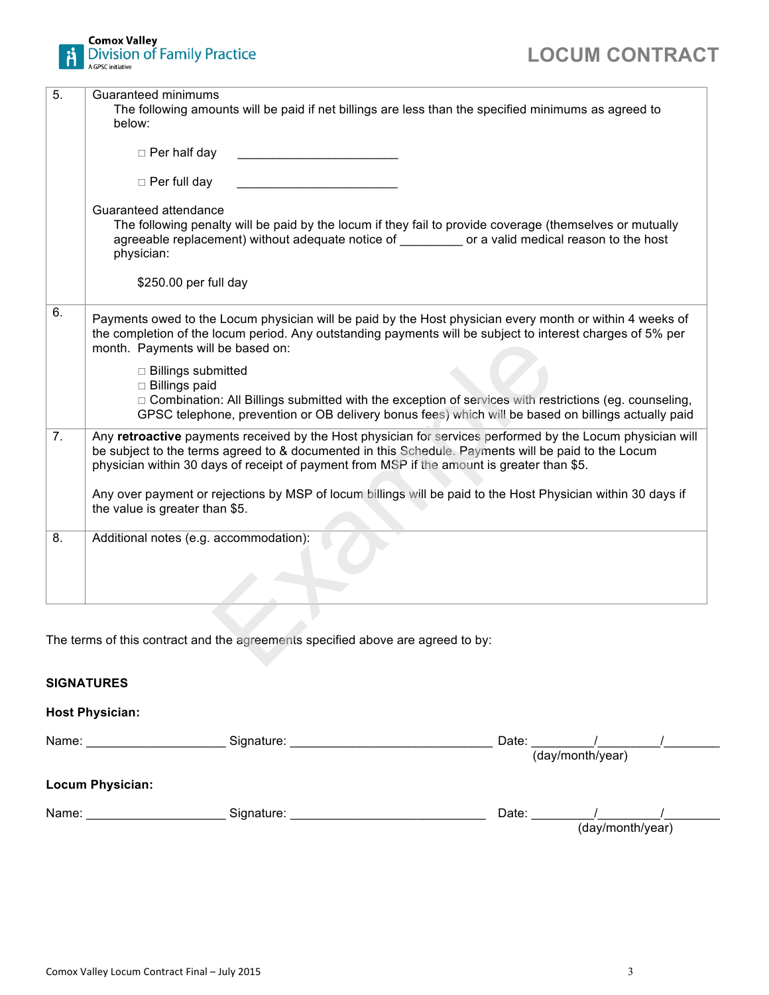

| 5.               | Guaranteed minimums                                                                                          |
|------------------|--------------------------------------------------------------------------------------------------------------|
|                  | The following amounts will be paid if net billings are less than the specified minimums as agreed to         |
|                  | below:                                                                                                       |
|                  |                                                                                                              |
|                  | $\Box$ Per half day                                                                                          |
|                  | □ Per full day                                                                                               |
|                  | Guaranteed attendance                                                                                        |
|                  | The following penalty will be paid by the locum if they fail to provide coverage (themselves or mutually     |
|                  | agreeable replacement) without adequate notice of ________ or a valid medical reason to the host             |
|                  | physician:                                                                                                   |
|                  |                                                                                                              |
|                  | \$250.00 per full day                                                                                        |
| 6.               |                                                                                                              |
|                  | Payments owed to the Locum physician will be paid by the Host physician every month or within 4 weeks of     |
|                  | the completion of the locum period. Any outstanding payments will be subject to interest charges of 5% per   |
|                  | month. Payments will be based on:                                                                            |
|                  | □ Billings submitted                                                                                         |
|                  | $\Box$ Billings paid                                                                                         |
|                  | □ Combination: All Billings submitted with the exception of services with restrictions (eg. counseling,      |
|                  | GPSC telephone, prevention or OB delivery bonus fees) which will be based on billings actually paid          |
| $\overline{7}$ . | Any retroactive payments received by the Host physician for services performed by the Locum physician will   |
|                  | be subject to the terms agreed to & documented in this Schedule. Payments will be paid to the Locum          |
|                  | physician within 30 days of receipt of payment from MSP if the amount is greater than \$5.                   |
|                  |                                                                                                              |
|                  | Any over payment or rejections by MSP of locum billings will be paid to the Host Physician within 30 days if |
|                  | the value is greater than \$5.                                                                               |
| 8.               | Additional notes (e.g. accommodation):                                                                       |
|                  |                                                                                                              |
|                  |                                                                                                              |
|                  |                                                                                                              |
|                  |                                                                                                              |
|                  |                                                                                                              |
|                  |                                                                                                              |
|                  | The terms of this contract and the agreements specified above are agreed to by:                              |
|                  |                                                                                                              |

## **SIGNATURES**

#### **Host Physician:**

| Name: | Signature:              | Date:            |
|-------|-------------------------|------------------|
|       |                         | (day/month/year) |
|       | <b>Locum Physician:</b> |                  |
| Name: | Signature:              | Date:            |
|       |                         | (day/month/year) |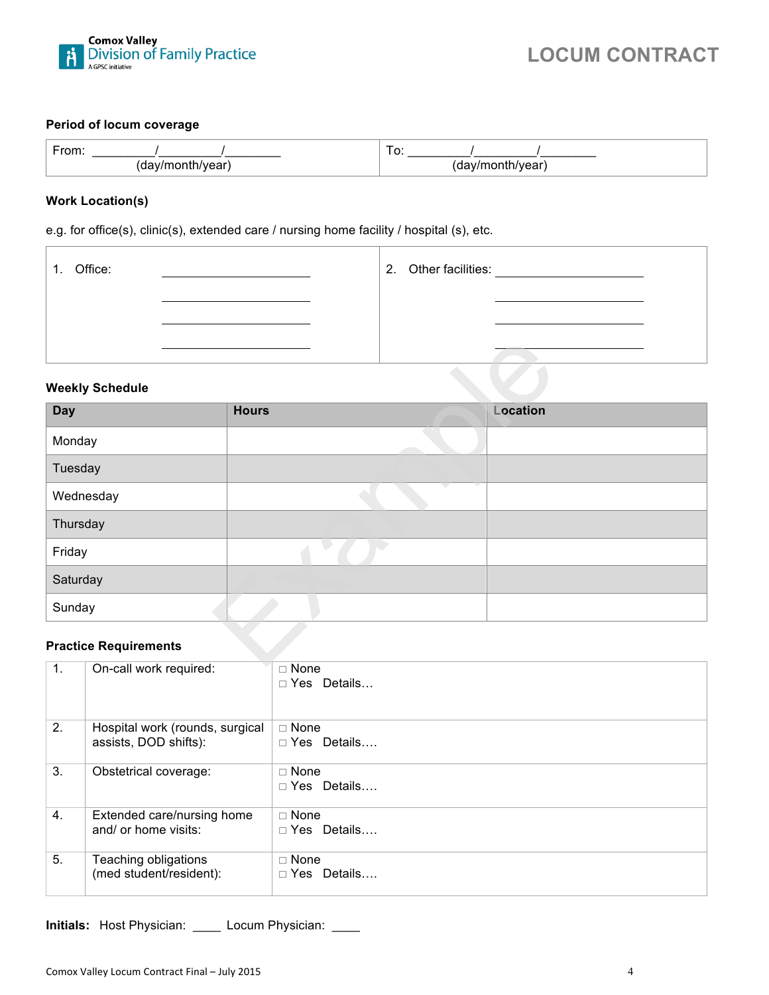

# **LOCUM CONTRACT**

#### **Period of locum coverage**

| $-$ |  | ີ       |
|-----|--|---------|
| ≀a. |  |         |
| .   |  | וו year |
| --  |  | u,      |

#### **Work Location(s)**

e.g. for office(s), clinic(s), extended care / nursing home facility / hospital (s), etc.

| 1. Office: |  | 2. Other facilities: |  |
|------------|--|----------------------|--|
|            |  |                      |  |
|            |  |                      |  |

#### **Weekly Schedule**

| <b>Weekly Schedule</b>                                                              |              |          |  |
|-------------------------------------------------------------------------------------|--------------|----------|--|
| <b>Day</b>                                                                          | <b>Hours</b> | Location |  |
| Monday                                                                              |              |          |  |
| Tuesday                                                                             |              |          |  |
| Wednesday                                                                           |              |          |  |
| Thursday                                                                            |              |          |  |
| Friday                                                                              |              |          |  |
| Saturday                                                                            |              |          |  |
| Sunday                                                                              |              |          |  |
| <b>Practice Requirements</b><br>$\mathbf{A} = \mathbf{A}$ $\mathbf{A} = \mathbf{A}$ | $-$ Mass     |          |  |

#### **Practice Requirements**

| 1. | On-call work required:                                   | $\Box$ None<br>$\Box$ Yes Details |
|----|----------------------------------------------------------|-----------------------------------|
| 2. | Hospital work (rounds, surgical<br>assists, DOD shifts): | $\Box$ None<br>$\Box$ Yes Details |
| 3. | Obstetrical coverage:                                    | $\Box$ None<br>$\Box$ Yes Details |
| 4. | Extended care/nursing home<br>and/ or home visits:       | $\Box$ None<br>$\Box$ Yes Details |
| 5. | Teaching obligations<br>(med student/resident):          | $\Box$ None<br>$\Box$ Yes Details |

**Initials:** Host Physician: \_\_\_\_ Locum Physician: \_\_\_\_